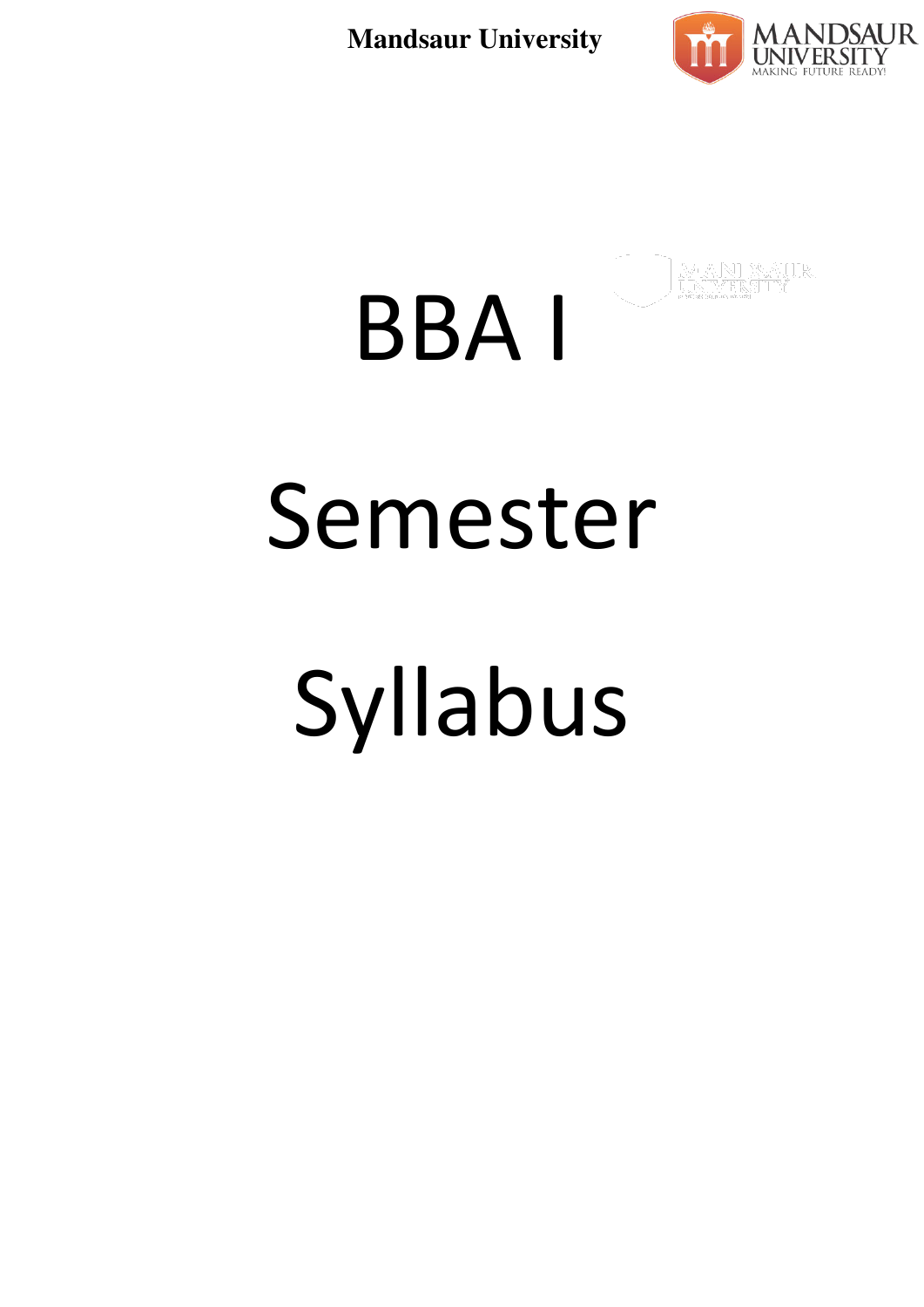

# BBA I Semester Syllabus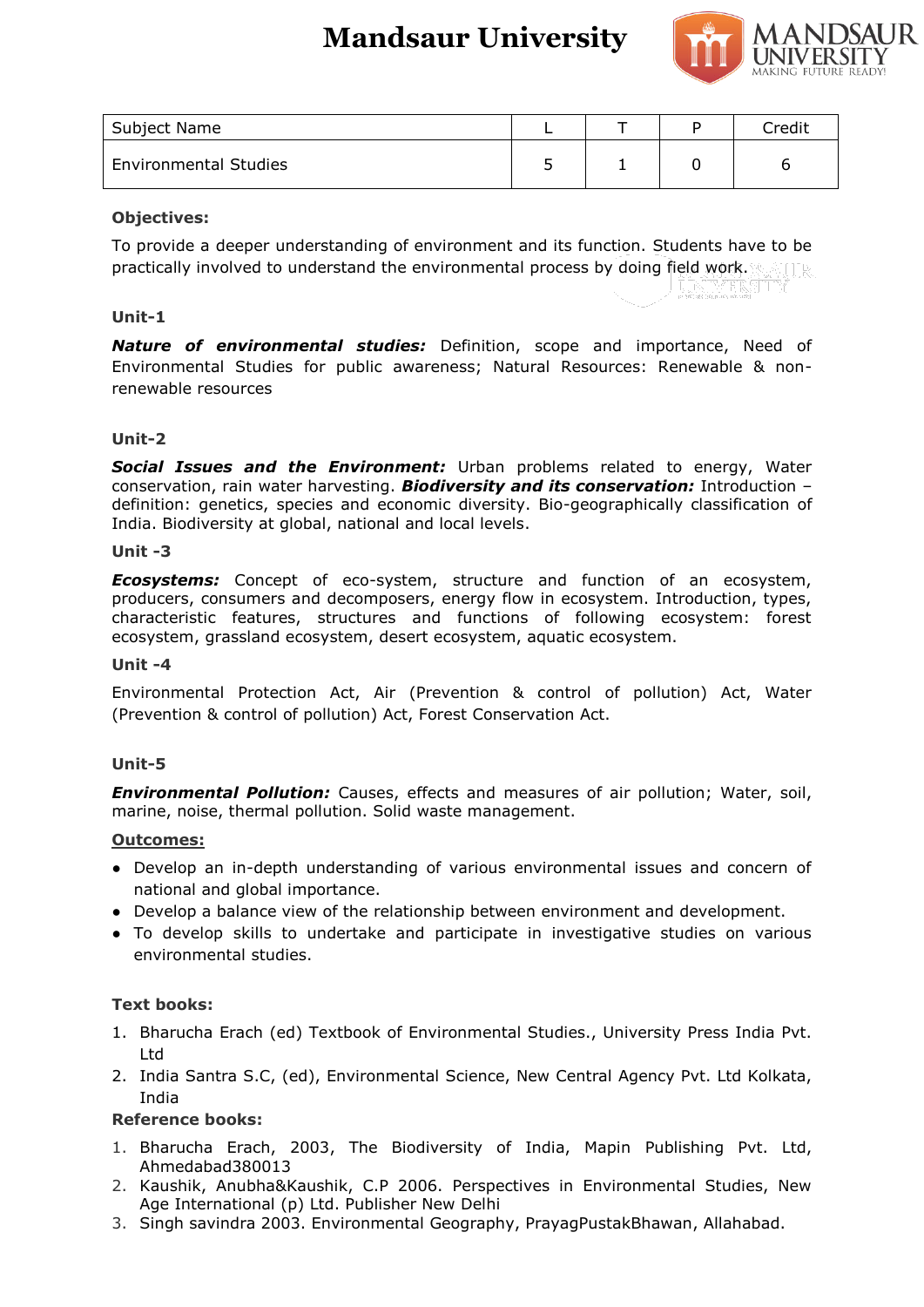

| Subject Name                 |    | Credit |
|------------------------------|----|--------|
| <b>Environmental Studies</b> | -- |        |

# **Objectives:**

To provide a deeper understanding of environment and its function. Students have to be practically involved to understand the environmental process by doing field work.

## **Unit-1**

*Nature of environmental studies:* Definition, scope and importance, Need of Environmental Studies for public awareness; Natural Resources: Renewable & nonrenewable resources

## **Unit-2**

*Social Issues and the Environment:* Urban problems related to energy, Water conservation, rain water harvesting. *Biodiversity and its conservation:* Introduction – definition: genetics, species and economic diversity. Bio-geographically classification of India. Biodiversity at global, national and local levels.

## **Unit -3**

*Ecosystems:* Concept of eco-system, structure and function of an ecosystem, producers, consumers and decomposers, energy flow in ecosystem. Introduction, types, characteristic features, structures and functions of following ecosystem: forest ecosystem, grassland ecosystem, desert ecosystem, aquatic ecosystem.

## **Unit -4**

Environmental Protection Act, Air (Prevention & control of pollution) Act, Water (Prevention & control of pollution) Act, Forest Conservation Act.

## **Unit-5**

*Environmental Pollution:* Causes, effects and measures of air pollution; Water, soil, marine, noise, thermal pollution. Solid waste management.

## **Outcomes:**

- Develop an in-depth understanding of various environmental issues and concern of national and global importance.
- Develop a balance view of the relationship between environment and development.
- To develop skills to undertake and participate in investigative studies on various environmental studies.

## **Text books:**

- 1. Bharucha Erach (ed) Textbook of Environmental Studies., University Press India Pvt. Ltd
- 2. India Santra S.C, (ed), Environmental Science, New Central Agency Pvt. Ltd Kolkata, India

## **Reference books:**

- 1. Bharucha Erach, 2003, The Biodiversity of India, Mapin Publishing Pvt. Ltd, Ahmedabad380013
- 2. Kaushik, Anubha&Kaushik, C.P 2006. Perspectives in Environmental Studies, New Age International (p) Ltd. Publisher New Delhi
- 3. Singh savindra 2003. Environmental Geography, PrayagPustakBhawan, Allahabad.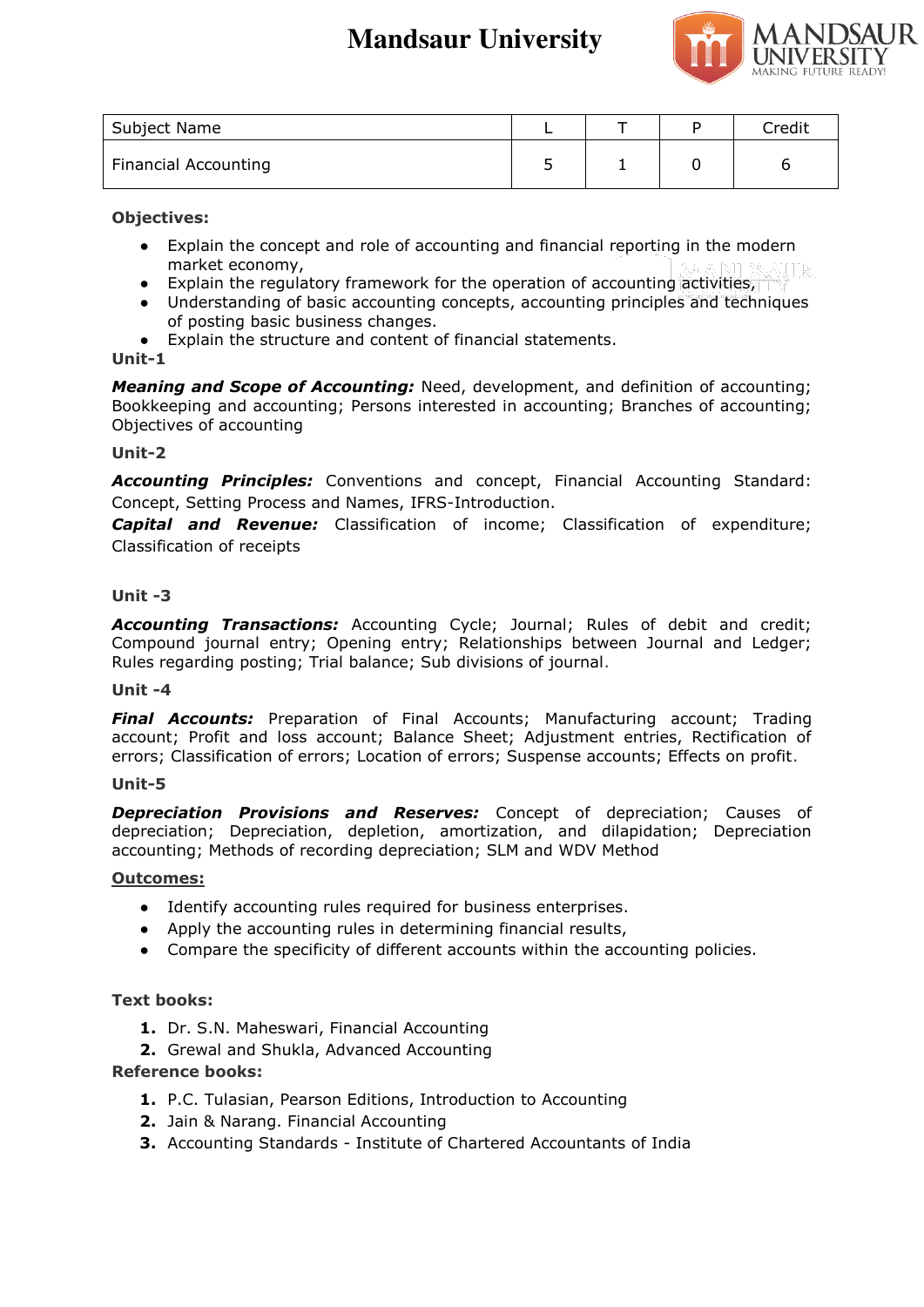

| Subject Name                |  | Credit |
|-----------------------------|--|--------|
| <b>Financial Accounting</b> |  |        |

**Objectives:** 

- Explain the concept and role of accounting and financial reporting in the modern market economy,
- Explain the regulatory framework for the operation of accounting activities,
- Understanding of basic accounting concepts, accounting principles and techniques of posting basic business changes.
- Explain the structure and content of financial statements.

# **Unit-1**

*Meaning and Scope of Accounting:* Need, development, and definition of accounting; Bookkeeping and accounting; Persons interested in accounting; Branches of accounting; Objectives of accounting

# **Unit-2**

*Accounting Principles:* Conventions and concept, Financial Accounting Standard: Concept, Setting Process and Names, IFRS-Introduction.

*Capital and Revenue:* Classification of income; Classification of expenditure; Classification of receipts

# **Unit -3**

*Accounting Transactions:* Accounting Cycle; Journal; Rules of debit and credit; Compound journal entry; Opening entry; Relationships between Journal and Ledger; Rules regarding posting; Trial balance; Sub divisions of journal.

## **Unit -4**

*Final Accounts:* Preparation of Final Accounts; Manufacturing account; Trading account; Profit and loss account; Balance Sheet; Adjustment entries, Rectification of errors; Classification of errors; Location of errors; Suspense accounts; Effects on profit.

# **Unit-5**

*Depreciation Provisions and Reserves:* Concept of depreciation; Causes of depreciation; Depreciation, depletion, amortization, and dilapidation; Depreciation accounting; Methods of recording depreciation; SLM and WDV Method

# **Outcomes:**

- Identify accounting rules required for business enterprises.
- Apply the accounting rules in determining financial results,
- Compare the specificity of different accounts within the accounting policies.

# **Text books:**

- **1.** Dr. S.N. Maheswari, Financial Accounting
- **2.** Grewal and Shukla, Advanced Accounting

# **Reference books:**

- **1.** P.C. Tulasian, Pearson Editions, Introduction to Accounting
- **2.** Jain & Narang. Financial Accounting
- **3.** Accounting Standards Institute of Chartered Accountants of India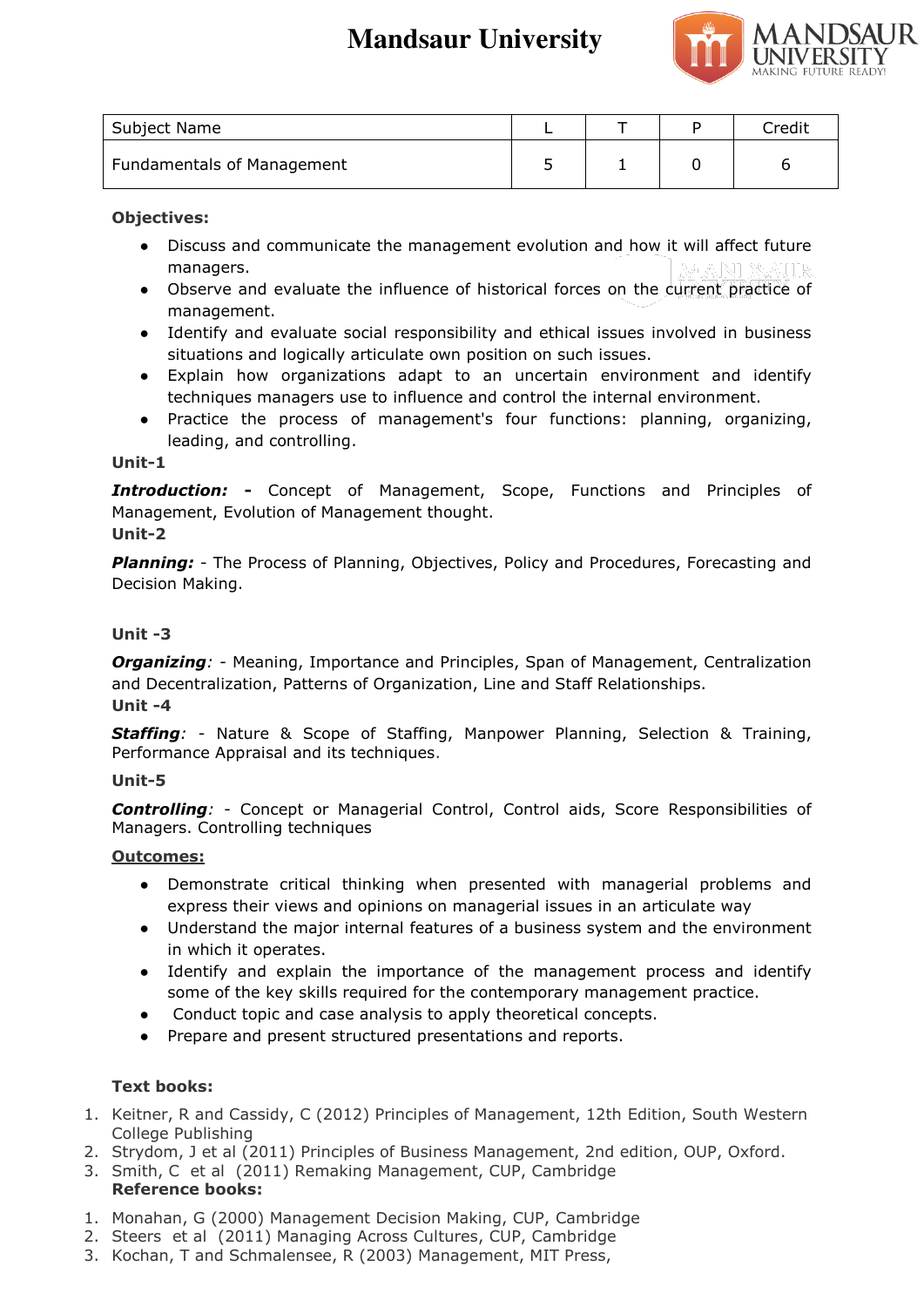

| Subject Name                      |  | Credit |
|-----------------------------------|--|--------|
| <b>Fundamentals of Management</b> |  |        |

# **Objectives:**

- Discuss and communicate the management evolution and how it will affect future managers.
- Observe and evaluate the influence of historical forces on the current practice of management.
- Identify and evaluate social responsibility and ethical issues involved in business situations and logically articulate own position on such issues.
- Explain how organizations adapt to an uncertain environment and identify techniques managers use to influence and control the internal environment.
- Practice the process of management's four functions: planning, organizing, leading, and controlling.

## **Unit-1**

*Introduction:* **-** Concept of Management, Scope, Functions and Principles of Management, Evolution of Management thought.

# **Unit-2**

**Planning:** - The Process of Planning, Objectives, Policy and Procedures, Forecasting and Decision Making.

# **Unit -3**

**Organizing**: - Meaning, Importance and Principles, Span of Management, Centralization and Decentralization, Patterns of Organization, Line and Staff Relationships. **Unit -4** 

*Staffing:* - Nature & Scope of Staffing, Manpower Planning, Selection & Training, Performance Appraisal and its techniques.

# **Unit-5**

*Controlling:* - Concept or Managerial Control, Control aids, Score Responsibilities of Managers. Controlling techniques

# **Outcomes:**

- Demonstrate critical thinking when presented with managerial problems and express their views and opinions on managerial issues in an articulate way
- Understand the major internal features of a business system and the environment in which it operates.
- Identify and explain the importance of the management process and identify some of the key skills required for the contemporary management practice.
- Conduct topic and case analysis to apply theoretical concepts.
- Prepare and present structured presentations and reports.

# **Text books:**

- 1. Keitner, R and Cassidy, C (2012) Principles of Management, 12th Edition, South Western College Publishing
- 2. Strydom, J et al (2011) Principles of Business Management, 2nd edition, OUP, Oxford.
- 3. Smith, C et al (2011) Remaking Management, CUP, Cambridge **Reference books:**
- 1. Monahan, G (2000) Management Decision Making, CUP, Cambridge
- 2. Steers et al (2011) Managing Across Cultures, CUP, Cambridge
- 3. Kochan, T and Schmalensee, R (2003) Management, MIT Press,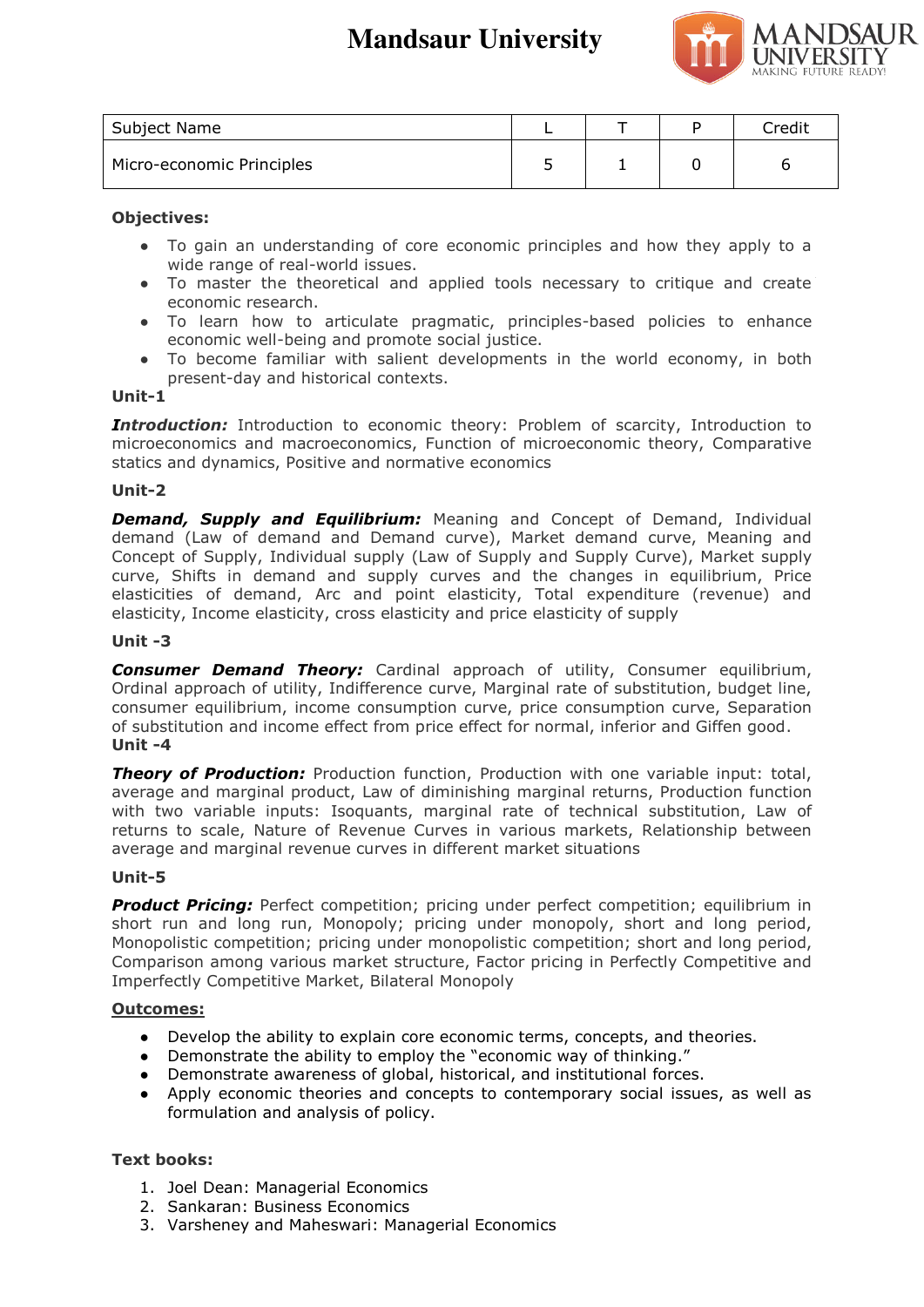

| Subject Name              |  | Credit |
|---------------------------|--|--------|
| Micro-economic Principles |  |        |

## **Objectives:**

- To gain an understanding of core economic principles and how they apply to a wide range of real-world issues.
- To master the theoretical and applied tools necessary to critique and create economic research.
- To learn how to articulate pragmatic, principles-based policies to enhance economic well-being and promote social justice.
- To become familiar with salient developments in the world economy, in both present-day and historical contexts.

## **Unit-1**

**Introduction:** Introduction to economic theory: Problem of scarcity, Introduction to microeconomics and macroeconomics, Function of microeconomic theory, Comparative statics and dynamics, Positive and normative economics

## **Unit-2**

**Demand, Supply and Equilibrium:** Meaning and Concept of Demand, Individual demand (Law of demand and Demand curve), Market demand curve, Meaning and Concept of Supply, Individual supply (Law of Supply and Supply Curve), Market supply curve, Shifts in demand and supply curves and the changes in equilibrium, Price elasticities of demand, Arc and point elasticity, Total expenditure (revenue) and elasticity, Income elasticity, cross elasticity and price elasticity of supply

## **Unit -3**

**Consumer Demand Theory:** Cardinal approach of utility, Consumer equilibrium, Ordinal approach of utility, Indifference curve, Marginal rate of substitution, budget line, consumer equilibrium, income consumption curve, price consumption curve, Separation of substitution and income effect from price effect for normal, inferior and Giffen good. **Unit -4** 

**Theory of Production:** Production function, Production with one variable input: total, average and marginal product, Law of diminishing marginal returns, Production function with two variable inputs: Isoquants, marginal rate of technical substitution, Law of returns to scale, Nature of Revenue Curves in various markets, Relationship between average and marginal revenue curves in different market situations

## **Unit-5**

**Product Pricing:** Perfect competition; pricing under perfect competition; equilibrium in short run and long run, Monopoly; pricing under monopoly, short and long period, Monopolistic competition; pricing under monopolistic competition; short and long period, Comparison among various market structure, Factor pricing in Perfectly Competitive and Imperfectly Competitive Market, Bilateral Monopoly

## **Outcomes:**

- Develop the ability to explain core economic terms, concepts, and theories.
- Demonstrate the ability to employ the "economic way of thinking."
- Demonstrate awareness of global, historical, and institutional forces.
- Apply economic theories and concepts to contemporary social issues, as well as formulation and analysis of policy.

# **Text books:**

- 1. Joel Dean: Managerial Economics
- 2. Sankaran: Business Economics
- 3. Varsheney and Maheswari: Managerial Economics